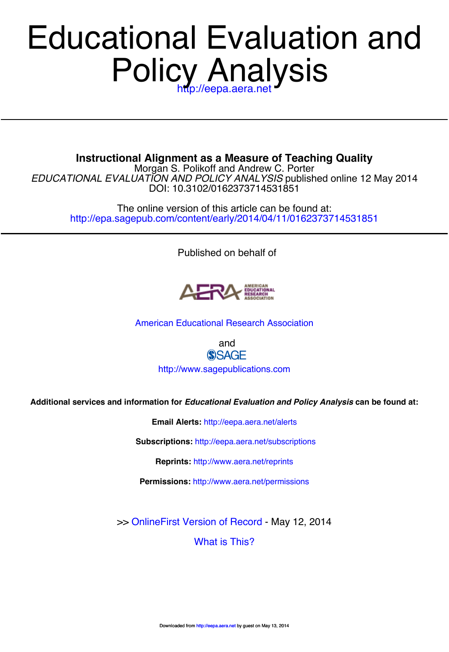# Policy Analysis Educational Evaluation and

**Instructional Alignment as a Measure of Teaching Quality**

DOI: 10.3102/0162373714531851 *EDUCATIONAL EVALUATION AND POLICY ANALYSIS* published online 12 May 2014 Morgan S. Polikoff and Andrew C. Porter

> <http://epa.sagepub.com/content/early/2014/04/11/0162373714531851> The online version of this article can be found at:

> > Published on behalf of



[American Educational Research Association](http://www.aera.net)

and<br>SAGE® <http://www.sagepublications.com>

**Additional services and information for** *Educational Evaluation and Policy Analysis* **can be found at:**

**Email Alerts:** <http://eepa.aera.net/alerts>

**Subscriptions:** <http://eepa.aera.net/subscriptions>

**Reprints:** <http://www.aera.net/reprints>

**Permissions:** <http://www.aera.net/permissions>

>> [OnlineFirst Version of Record -](http://epa.sagepub.com/content/early/2014/04/11/0162373714531851.full.pdf) May 12, 2014

[What is This?](http://online.sagepub.com/site/sphelp/vorhelp.xhtml)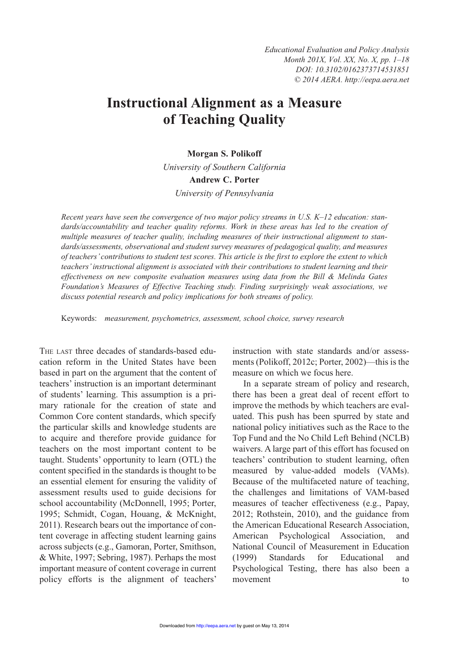## **Instructional Alignment as a Measure of Teaching Quality**

## **Morgan S. Polikoff**

*University of Southern California* **Andrew C. Porter**

*University of Pennsylvania*

*Recent years have seen the convergence of two major policy streams in U.S. K–12 education: stan*dards/accountability and teacher quality reforms. Work in these areas has led to the creation of *multiple measures of teacher quality, including measures of their instructional alignment to standards/assessments, observational and student survey measures of pedagogical quality, and measures of teachers' contributions to student test scores. This article is the first to explore the extent to which teachers' instructional alignment is associated with their contributions to student learning and their effectiveness on new composite evaluation measures using data from the Bill & Melinda Gates Foundation's Measures of Effective Teaching study. Finding surprisingly weak associations, we discuss potential research and policy implications for both streams of policy.*

Keywords: *measurement, psychometrics, assessment, school choice, survey research*

THE LAST three decades of standards-based education reform in the United States have been based in part on the argument that the content of teachers' instruction is an important determinant of students' learning. This assumption is a primary rationale for the creation of state and Common Core content standards, which specify the particular skills and knowledge students are to acquire and therefore provide guidance for teachers on the most important content to be taught. Students' opportunity to learn (OTL) the content specified in the standards is thought to be an essential element for ensuring the validity of assessment results used to guide decisions for school accountability (McDonnell, 1995; Porter, 1995; Schmidt, Cogan, Houang, & McKnight, 2011). Research bears out the importance of content coverage in affecting student learning gains across subjects (e.g., Gamoran, Porter, Smithson, & White, 1997; Sebring, 1987). Perhaps the most important measure of content coverage in current policy efforts is the alignment of teachers'

instruction with state standards and/or assessments (Polikoff, 2012c; Porter, 2002)—this is the measure on which we focus here.

In a separate stream of policy and research, there has been a great deal of recent effort to improve the methods by which teachers are evaluated. This push has been spurred by state and national policy initiatives such as the Race to the Top Fund and the No Child Left Behind (NCLB) waivers. A large part of this effort has focused on teachers' contribution to student learning, often measured by value-added models (VAMs). Because of the multifaceted nature of teaching, the challenges and limitations of VAM-based measures of teacher effectiveness (e.g., Papay, 2012; Rothstein, 2010), and the guidance from the American Educational Research Association, American Psychological Association, and National Council of Measurement in Education (1999) Standards for Educational and Psychological Testing, there has also been a movement to to the contract of the contract of the contract of the contract of the contract of the contract of the contract of the contract of the contract of the contract of the contract of the contract of the contract of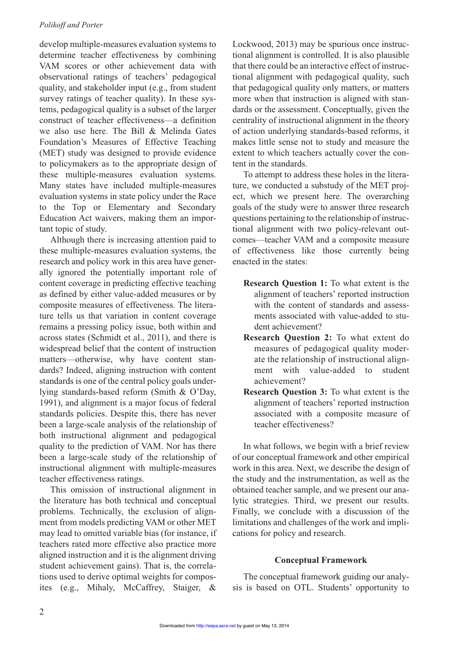develop multiple-measures evaluation systems to determine teacher effectiveness by combining VAM scores or other achievement data with observational ratings of teachers' pedagogical quality, and stakeholder input (e.g., from student survey ratings of teacher quality). In these systems, pedagogical quality is a subset of the larger construct of teacher effectiveness—a definition we also use here. The Bill & Melinda Gates Foundation's Measures of Effective Teaching (MET) study was designed to provide evidence to policymakers as to the appropriate design of these multiple-measures evaluation systems. Many states have included multiple-measures evaluation systems in state policy under the Race to the Top or Elementary and Secondary Education Act waivers, making them an important topic of study.

Although there is increasing attention paid to these multiple-measures evaluation systems, the research and policy work in this area have generally ignored the potentially important role of content coverage in predicting effective teaching as defined by either value-added measures or by composite measures of effectiveness. The literature tells us that variation in content coverage remains a pressing policy issue, both within and across states (Schmidt et al., 2011), and there is widespread belief that the content of instruction matters—otherwise, why have content standards? Indeed, aligning instruction with content standards is one of the central policy goals underlying standards-based reform (Smith & O'Day, 1991), and alignment is a major focus of federal standards policies. Despite this, there has never been a large-scale analysis of the relationship of both instructional alignment and pedagogical quality to the prediction of VAM. Nor has there been a large-scale study of the relationship of instructional alignment with multiple-measures teacher effectiveness ratings.

This omission of instructional alignment in the literature has both technical and conceptual problems. Technically, the exclusion of alignment from models predicting VAM or other MET may lead to omitted variable bias (for instance, if teachers rated more effective also practice more aligned instruction and it is the alignment driving student achievement gains). That is, the correlations used to derive optimal weights for composites (e.g., Mihaly, McCaffrey, Staiger, &

Lockwood, 2013) may be spurious once instructional alignment is controlled. It is also plausible that there could be an interactive effect of instructional alignment with pedagogical quality, such that pedagogical quality only matters, or matters more when that instruction is aligned with standards or the assessment. Conceptually, given the centrality of instructional alignment in the theory of action underlying standards-based reforms, it makes little sense not to study and measure the extent to which teachers actually cover the content in the standards.

To attempt to address these holes in the literature, we conducted a substudy of the MET project, which we present here. The overarching goals of the study were to answer three research questions pertaining to the relationship of instructional alignment with two policy-relevant outcomes—teacher VAM and a composite measure of effectiveness like those currently being enacted in the states:

- **Research Question 1:** To what extent is the alignment of teachers' reported instruction with the content of standards and assessments associated with value-added to student achievement?
- **Research Question 2:** To what extent do measures of pedagogical quality moderate the relationship of instructional alignment with value-added to student achievement?
- **Research Question 3:** To what extent is the alignment of teachers' reported instruction associated with a composite measure of teacher effectiveness?

In what follows, we begin with a brief review of our conceptual framework and other empirical work in this area. Next, we describe the design of the study and the instrumentation, as well as the obtained teacher sample, and we present our analytic strategies. Third, we present our results. Finally, we conclude with a discussion of the limitations and challenges of the work and implications for policy and research.

## **Conceptual Framework**

The conceptual framework guiding our analysis is based on OTL. Students' opportunity to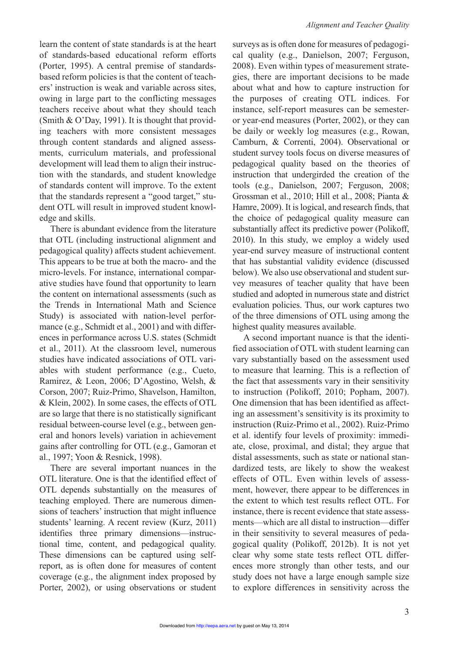learn the content of state standards is at the heart of standards-based educational reform efforts (Porter, 1995). A central premise of standardsbased reform policies is that the content of teachers' instruction is weak and variable across sites, owing in large part to the conflicting messages teachers receive about what they should teach (Smith & O'Day, 1991). It is thought that providing teachers with more consistent messages through content standards and aligned assessments, curriculum materials, and professional development will lead them to align their instruction with the standards, and student knowledge of standards content will improve. To the extent that the standards represent a "good target," student OTL will result in improved student knowledge and skills.

There is abundant evidence from the literature that OTL (including instructional alignment and pedagogical quality) affects student achievement. This appears to be true at both the macro- and the micro-levels. For instance, international comparative studies have found that opportunity to learn the content on international assessments (such as the Trends in International Math and Science Study) is associated with nation-level performance (e.g., Schmidt et al., 2001) and with differences in performance across U.S. states (Schmidt et al., 2011). At the classroom level, numerous studies have indicated associations of OTL variables with student performance (e.g., Cueto, Ramirez, & Leon, 2006; D'Agostino, Welsh, & Corson, 2007; Ruiz-Primo, Shavelson, Hamilton, & Klein, 2002). In some cases, the effects of OTL are so large that there is no statistically significant residual between-course level (e.g., between general and honors levels) variation in achievement gains after controlling for OTL (e.g., Gamoran et al., 1997; Yoon & Resnick, 1998).

There are several important nuances in the OTL literature. One is that the identified effect of OTL depends substantially on the measures of teaching employed. There are numerous dimensions of teachers' instruction that might influence students' learning. A recent review (Kurz, 2011) identifies three primary dimensions—instructional time, content, and pedagogical quality. These dimensions can be captured using selfreport, as is often done for measures of content coverage (e.g., the alignment index proposed by Porter, 2002), or using observations or student

surveys as is often done for measures of pedagogical quality (e.g., Danielson, 2007; Ferguson, 2008). Even within types of measurement strategies, there are important decisions to be made about what and how to capture instruction for the purposes of creating OTL indices. For instance, self-report measures can be semesteror year-end measures (Porter, 2002), or they can be daily or weekly log measures (e.g., Rowan, Camburn, & Correnti, 2004). Observational or student survey tools focus on diverse measures of pedagogical quality based on the theories of instruction that undergirded the creation of the tools (e.g., Danielson, 2007; Ferguson, 2008; Grossman et al., 2010; Hill et al., 2008; Pianta & Hamre, 2009). It is logical, and research finds, that the choice of pedagogical quality measure can substantially affect its predictive power (Polikoff, 2010). In this study, we employ a widely used year-end survey measure of instructional content that has substantial validity evidence (discussed below). We also use observational and student survey measures of teacher quality that have been studied and adopted in numerous state and district evaluation policies. Thus, our work captures two of the three dimensions of OTL using among the highest quality measures available.

A second important nuance is that the identified association of OTL with student learning can vary substantially based on the assessment used to measure that learning. This is a reflection of the fact that assessments vary in their sensitivity to instruction (Polikoff, 2010; Popham, 2007). One dimension that has been identified as affecting an assessment's sensitivity is its proximity to instruction (Ruiz-Primo et al., 2002). Ruiz-Primo et al. identify four levels of proximity: immediate, close, proximal, and distal; they argue that distal assessments, such as state or national standardized tests, are likely to show the weakest effects of OTL. Even within levels of assessment, however, there appear to be differences in the extent to which test results reflect OTL. For instance, there is recent evidence that state assessments—which are all distal to instruction—differ in their sensitivity to several measures of pedagogical quality (Polikoff, 2012b). It is not yet clear why some state tests reflect OTL differences more strongly than other tests, and our study does not have a large enough sample size to explore differences in sensitivity across the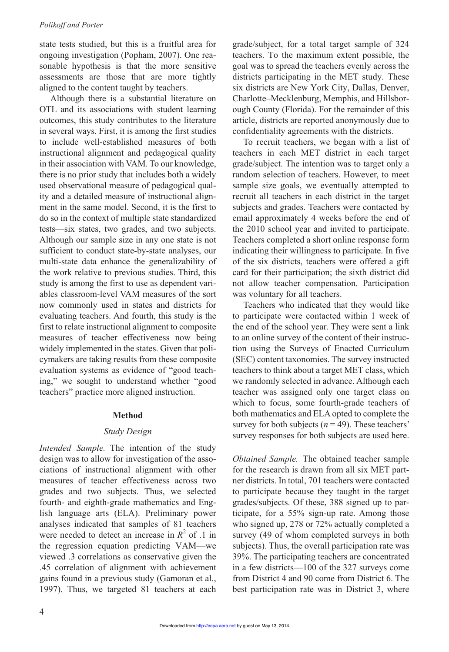state tests studied, but this is a fruitful area for ongoing investigation (Popham, 2007). One reasonable hypothesis is that the more sensitive assessments are those that are more tightly aligned to the content taught by teachers.

Although there is a substantial literature on OTL and its associations with student learning outcomes, this study contributes to the literature in several ways. First, it is among the first studies to include well-established measures of both instructional alignment and pedagogical quality in their association with VAM. To our knowledge, there is no prior study that includes both a widely used observational measure of pedagogical quality and a detailed measure of instructional alignment in the same model. Second, it is the first to do so in the context of multiple state standardized tests—six states, two grades, and two subjects. Although our sample size in any one state is not sufficient to conduct state-by-state analyses, our multi-state data enhance the generalizability of the work relative to previous studies. Third, this study is among the first to use as dependent variables classroom-level VAM measures of the sort now commonly used in states and districts for evaluating teachers. And fourth, this study is the first to relate instructional alignment to composite measures of teacher effectiveness now being widely implemented in the states. Given that policymakers are taking results from these composite evaluation systems as evidence of "good teaching," we sought to understand whether "good teachers" practice more aligned instruction.

## **Method**

## *Study Design*

*Intended Sample.* The intention of the study design was to allow for investigation of the associations of instructional alignment with other measures of teacher effectiveness across two grades and two subjects. Thus, we selected fourth- and eighth-grade mathematics and English language arts (ELA). Preliminary power analyses indicated that samples of 81 teachers were needed to detect an increase in  $R^2$  of .1 in the regression equation predicting VAM—we viewed .3 correlations as conservative given the .45 correlation of alignment with achievement gains found in a previous study (Gamoran et al., 1997). Thus, we targeted 81 teachers at each

grade/subject, for a total target sample of 324 teachers. To the maximum extent possible, the goal was to spread the teachers evenly across the districts participating in the MET study. These six districts are New York City, Dallas, Denver, Charlotte–Mecklenburg, Memphis, and Hillsborough County (Florida). For the remainder of this article, districts are reported anonymously due to confidentiality agreements with the districts.

To recruit teachers, we began with a list of teachers in each MET district in each target grade/subject. The intention was to target only a random selection of teachers. However, to meet sample size goals, we eventually attempted to recruit all teachers in each district in the target subjects and grades. Teachers were contacted by email approximately 4 weeks before the end of the 2010 school year and invited to participate. Teachers completed a short online response form indicating their willingness to participate. In five of the six districts, teachers were offered a gift card for their participation; the sixth district did not allow teacher compensation. Participation was voluntary for all teachers.

Teachers who indicated that they would like to participate were contacted within 1 week of the end of the school year. They were sent a link to an online survey of the content of their instruction using the Surveys of Enacted Curriculum (SEC) content taxonomies. The survey instructed teachers to think about a target MET class, which we randomly selected in advance. Although each teacher was assigned only one target class on which to focus, some fourth-grade teachers of both mathematics and ELA opted to complete the survey for both subjects ( $n = 49$ ). These teachers' survey responses for both subjects are used here.

*Obtained Sample.* The obtained teacher sample for the research is drawn from all six MET partner districts. In total, 701 teachers were contacted to participate because they taught in the target grades/subjects. Of these, 388 signed up to participate, for a 55% sign-up rate. Among those who signed up, 278 or 72% actually completed a survey (49 of whom completed surveys in both subjects). Thus, the overall participation rate was 39%. The participating teachers are concentrated in a few districts—100 of the 327 surveys come from District 4 and 90 come from District 6. The best participation rate was in District 3, where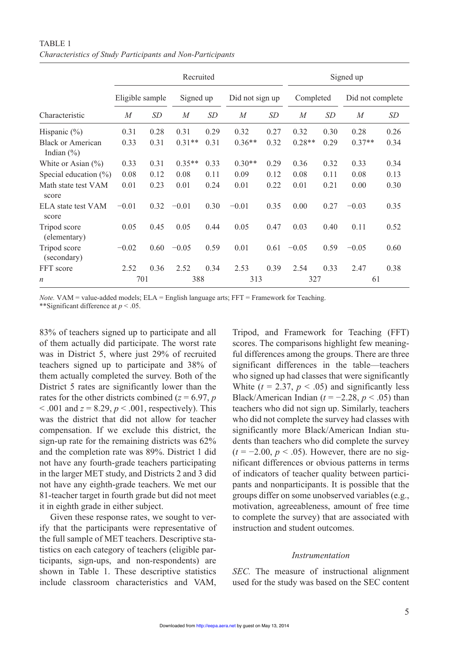|                                     | Recruited        |      |                  |      | Signed up       |           |                  |           |                  |      |
|-------------------------------------|------------------|------|------------------|------|-----------------|-----------|------------------|-----------|------------------|------|
|                                     | Eligible sample  |      | Signed up        |      | Did not sign up |           | Completed        |           | Did not complete |      |
| Characteristic                      | $\boldsymbol{M}$ | SD   | $\boldsymbol{M}$ | SD   | $\overline{M}$  | <i>SD</i> | $\boldsymbol{M}$ | <i>SD</i> | $\boldsymbol{M}$ | SD   |
| Hispanic $(\%)$                     | 0.31             | 0.28 | 0.31             | 0.29 | 0.32            | 0.27      | 0.32             | 0.30      | 0.28             | 0.26 |
| Black or American<br>Indian $(\% )$ | 0.33             | 0.31 | $0.31**$         | 0.31 | $0.36**$        | 0.32      | $0.28**$         | 0.29      | $0.37**$         | 0.34 |
| White or Asian $(\% )$              | 0.33             | 0.31 | $0.35**$         | 0.33 | $0.30**$        | 0.29      | 0.36             | 0.32      | 0.33             | 0.34 |
| Special education $(\%)$            | 0.08             | 0.12 | 0.08             | 0.11 | 0.09            | 0.12      | 0.08             | 0.11      | 0.08             | 0.13 |
| Math state test VAM<br>score        | 0.01             | 0.23 | 0.01             | 0.24 | 0.01            | 0.22      | 0.01             | 0.21      | 0.00             | 0.30 |
| <b>ELA</b> state test VAM<br>score  | $-0.01$          | 0.32 | $-0.01$          | 0.30 | $-0.01$         | 0.35      | 0.00             | 0.27      | $-0.03$          | 0.35 |
| Tripod score<br>(elementary)        | 0.05             | 0.45 | 0.05             | 0.44 | 0.05            | 0.47      | 0.03             | 0.40      | 0.11             | 0.52 |
| Tripod score<br>(secondary)         | $-0.02$          | 0.60 | $-0.05$          | 0.59 | 0.01            | 0.61      | $-0.05$          | 0.59      | $-0.05$          | 0.60 |
| FFT score                           | 2.52             | 0.36 | 2.52             | 0.34 | 2.53            | 0.39      | 2.54             | 0.33      | 2.47             | 0.38 |
| $\boldsymbol{n}$                    | 701              |      | 388              |      | 313             |           | 327              |           | 61               |      |

*Note.* VAM = value-added models; ELA = English language arts; FFT = Framework for Teaching.

\*\*Significant difference at *p* < .05.

83% of teachers signed up to participate and all of them actually did participate. The worst rate was in District 5, where just 29% of recruited teachers signed up to participate and 38% of them actually completed the survey. Both of the District 5 rates are significantly lower than the rates for the other districts combined ( $z = 6.97$ ,  $p$ )  $< .001$  and  $z = 8.29$ ,  $p < .001$ , respectively). This was the district that did not allow for teacher compensation. If we exclude this district, the sign-up rate for the remaining districts was 62% and the completion rate was 89%. District 1 did not have any fourth-grade teachers participating in the larger MET study, and Districts 2 and 3 did not have any eighth-grade teachers. We met our 81-teacher target in fourth grade but did not meet it in eighth grade in either subject.

Given these response rates, we sought to verify that the participants were representative of the full sample of MET teachers. Descriptive statistics on each category of teachers (eligible participants, sign-ups, and non-respondents) are shown in Table 1. These descriptive statistics include classroom characteristics and VAM,

Tripod, and Framework for Teaching (FFT) scores. The comparisons highlight few meaningful differences among the groups. There are three significant differences in the table—teachers who signed up had classes that were significantly White  $(t = 2.37, p < .05)$  and significantly less Black/American Indian ( $t = -2.28$ ,  $p < .05$ ) than teachers who did not sign up. Similarly, teachers who did not complete the survey had classes with significantly more Black/American Indian students than teachers who did complete the survey  $(t = -2.00, p < .05)$ . However, there are no significant differences or obvious patterns in terms of indicators of teacher quality between participants and nonparticipants. It is possible that the groups differ on some unobserved variables (e.g., motivation, agreeableness, amount of free time to complete the survey) that are associated with instruction and student outcomes.

## *Instrumentation*

*SEC.* The measure of instructional alignment used for the study was based on the SEC content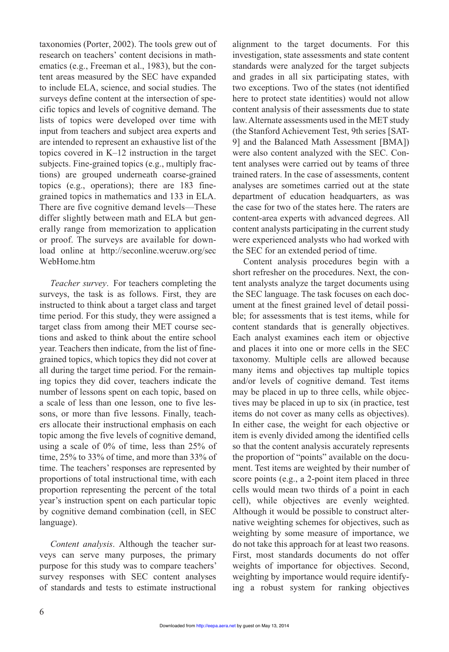taxonomies (Porter, 2002). The tools grew out of research on teachers' content decisions in mathematics (e.g., Freeman et al., 1983), but the content areas measured by the SEC have expanded to include ELA, science, and social studies. The surveys define content at the intersection of specific topics and levels of cognitive demand. The lists of topics were developed over time with input from teachers and subject area experts and are intended to represent an exhaustive list of the topics covered in K–12 instruction in the target subjects. Fine-grained topics (e.g., multiply fractions) are grouped underneath coarse-grained topics (e.g., operations); there are 183 finegrained topics in mathematics and 133 in ELA. There are five cognitive demand levels—These differ slightly between math and ELA but generally range from memorization to application or proof. The surveys are available for download online at [http://seconline.wceruw.org/sec](http://seconline.wceruw.org/secWebHome.htm) [WebHome.htm](http://seconline.wceruw.org/secWebHome.htm)

*Teacher survey*. For teachers completing the surveys, the task is as follows. First, they are instructed to think about a target class and target time period. For this study, they were assigned a target class from among their MET course sections and asked to think about the entire school year. Teachers then indicate, from the list of finegrained topics, which topics they did not cover at all during the target time period. For the remaining topics they did cover, teachers indicate the number of lessons spent on each topic, based on a scale of less than one lesson, one to five lessons, or more than five lessons. Finally, teachers allocate their instructional emphasis on each topic among the five levels of cognitive demand, using a scale of 0% of time, less than 25% of time, 25% to 33% of time, and more than 33% of time. The teachers' responses are represented by proportions of total instructional time, with each proportion representing the percent of the total year's instruction spent on each particular topic by cognitive demand combination (cell, in SEC language).

*Content analysis*. Although the teacher surveys can serve many purposes, the primary purpose for this study was to compare teachers' survey responses with SEC content analyses of standards and tests to estimate instructional

alignment to the target documents. For this investigation, state assessments and state content standards were analyzed for the target subjects and grades in all six participating states, with two exceptions. Two of the states (not identified here to protect state identities) would not allow content analysis of their assessments due to state law. Alternate assessments used in the MET study (the Stanford Achievement Test, 9th series [SAT-9] and the Balanced Math Assessment [BMA]) were also content analyzed with the SEC. Content analyses were carried out by teams of three trained raters. In the case of assessments, content analyses are sometimes carried out at the state department of education headquarters, as was the case for two of the states here. The raters are content-area experts with advanced degrees. All content analysts participating in the current study were experienced analysts who had worked with the SEC for an extended period of time.

Content analysis procedures begin with a short refresher on the procedures. Next, the content analysts analyze the target documents using the SEC language. The task focuses on each document at the finest grained level of detail possible; for assessments that is test items, while for content standards that is generally objectives. Each analyst examines each item or objective and places it into one or more cells in the SEC taxonomy. Multiple cells are allowed because many items and objectives tap multiple topics and/or levels of cognitive demand. Test items may be placed in up to three cells, while objectives may be placed in up to six (in practice, test items do not cover as many cells as objectives). In either case, the weight for each objective or item is evenly divided among the identified cells so that the content analysis accurately represents the proportion of "points" available on the document. Test items are weighted by their number of score points (e.g., a 2-point item placed in three cells would mean two thirds of a point in each cell), while objectives are evenly weighted. Although it would be possible to construct alternative weighting schemes for objectives, such as weighting by some measure of importance, we do not take this approach for at least two reasons. First, most standards documents do not offer weights of importance for objectives. Second, weighting by importance would require identifying a robust system for ranking objectives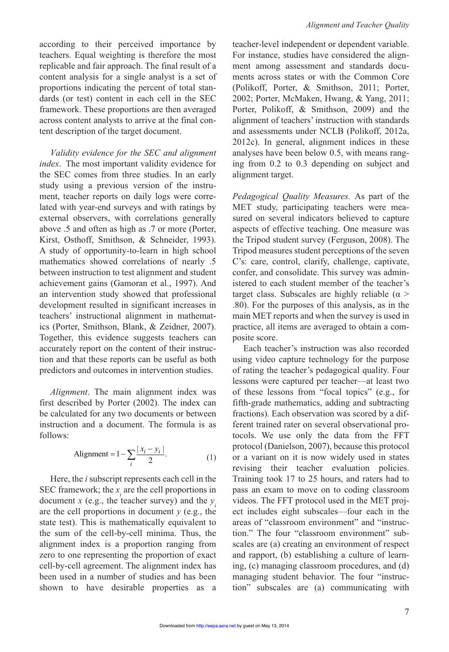according to their perceived importance by teachers. Equal weighting is therefore the most replicable and fair approach. The final result of a content analysis for a single analyst is a set of proportions indicating the percent of total standards (or test) content in each cell in the SEC framework. These proportions are then averaged across content analysts to arrive at the final content description of the target document.

*Validity evidence for the SEC and alignment index*. The most important validity evidence for the SEC comes from three studies. In an early study using a previous version of the instrument, teacher reports on daily logs were correlated with year-end surveys and with ratings by external observers, with correlations generally above .5 and often as high as .7 or more (Porter, Kirst, Osthoff, Smithson, & Schneider, 1993). A study of opportunity-to-learn in high school mathematics showed correlations of nearly .5 between instruction to test alignment and student achievement gains (Gamoran et al., 1997). And an intervention study showed that professional development resulted in significant increases in teachers' instructional alignment in mathematics (Porter, Smithson, Blank, & Zeidner, 2007). Together, this evidence suggests teachers can accurately report on the content of their instruction and that these reports can be useful as both predictors and outcomes in intervention studies.

*Alignment*. The main alignment index was first described by Porter (2002). The index can be calculated for any two documents or between instruction and a document. The formula is as follows:

$$
\text{alignment} = 1 - \sum_{i} \frac{|x_i - y_i|}{2}.
$$
 (1)

Here, the *i* subscript represents each cell in the SEC framework; the  $x_i$  are the cell proportions in document *x* (e.g., the teacher survey) and the  $y_i$ are the cell proportions in document *y* (e.g., the state test). This is mathematically equivalent to the sum of the cell-by-cell minima. Thus, the alignment index is a proportion ranging from zero to one representing the proportion of exact cell-by-cell agreement. The alignment index has been used in a number of studies and has been shown to have desirable properties as a

teacher-level independent or dependent variable. For instance, studies have considered the alignment among assessment and standards documents across states or with the Common Core (Polikoff, Porter, & Smithson, 2011; Porter, 2002; Porter, McMaken, Hwang, & Yang, 2011; Porter, Polikoff, & Smithson, 2009) and the alignment of teachers' instruction with standards and assessments under NCLB (Polikoff, 2012a, 2012c). In general, alignment indices in these analyses have been below 0.5, with means ranging from 0.2 to 0.3 depending on subject and alignment target.

*Pedagogical Quality Measures.* As part of the MET study, participating teachers were measured on several indicators believed to capture aspects of effective teaching. One measure was the Tripod student survey (Ferguson, 2008). The Tripod measures student perceptions of the seven C's: care, control, clarify, challenge, captivate, confer, and consolidate. This survey was administered to each student member of the teacher's target class. Subscales are highly reliable ( $\alpha$  > .80). For the purposes of this analysis, as in the main MET reports and when the survey is used in practice, all items are averaged to obtain a composite score.

Each teacher's instruction was also recorded using video capture technology for the purpose of rating the teacher's pedagogical quality. Four lessons were captured per teacher—at least two of these lessons from "focal topics" (e.g., for fifth-grade mathematics, adding and subtracting fractions). Each observation was scored by a different trained rater on several observational protocols. We use only the data from the FFT protocol (Danielson, 2007), because this protocol or a variant on it is now widely used in states revising their teacher evaluation policies. Training took 17 to 25 hours, and raters had to pass an exam to move on to coding classroom videos. The FFT protocol used in the MET project includes eight subscales—four each in the areas of "classroom environment" and "instruction." The four "classroom environment" subscales are (a) creating an environment of respect and rapport, (b) establishing a culture of learning, (c) managing classroom procedures, and (d) managing student behavior. The four "instruction" subscales are (a) communicating with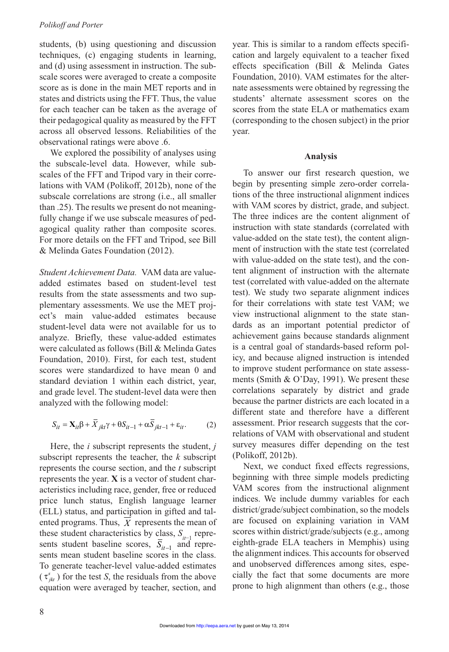students, (b) using questioning and discussion techniques, (c) engaging students in learning, and (d) using assessment in instruction. The subscale scores were averaged to create a composite score as is done in the main MET reports and in states and districts using the FFT. Thus, the value for each teacher can be taken as the average of their pedagogical quality as measured by the FFT across all observed lessons. Reliabilities of the observational ratings were above .6.

We explored the possibility of analyses using the subscale-level data. However, while subscales of the FFT and Tripod vary in their correlations with VAM (Polikoff, 2012b), none of the subscale correlations are strong (i.e., all smaller than .25). The results we present do not meaningfully change if we use subscale measures of pedagogical quality rather than composite scores. For more details on the FFT and Tripod, see Bill & Melinda Gates Foundation (2012).

*Student Achievement Data.* VAM data are valueadded estimates based on student-level test results from the state assessments and two supplementary assessments. We use the MET project's main value-added estimates because student-level data were not available for us to analyze. Briefly, these value-added estimates were calculated as follows (Bill & Melinda Gates Foundation, 2010). First, for each test, student scores were standardized to have mean 0 and standard deviation 1 within each district, year, and grade level. The student-level data were then analyzed with the following model:

$$
S_{it} = \mathbf{X}_{it}\boldsymbol{\beta} + \overline{X}_{jkt}\boldsymbol{\gamma} + \boldsymbol{\theta}S_{it-1} + \alpha\overline{S}_{jkt-1} + \varepsilon_{it}. \hspace{1cm} (2)
$$

Here, the *i* subscript represents the student, *j* subscript represents the teacher, the *k* subscript represents the course section, and the *t* subscript represents the year. **X** is a vector of student characteristics including race, gender, free or reduced price lunch status, English language learner (ELL) status, and participation in gifted and talented programs. Thus,  $\overline{X}$  represents the mean of these student characteristics by class,  $S_{it-1}$  represents student baseline scores,  $\overline{S}_{it-1}$  and represents mean student baseline scores in the class. To generate teacher-level value-added estimates  $(\tau_{jkt}^s)$  for the test *S*, the residuals from the above equation were averaged by teacher, section, and

year. This is similar to a random effects specification and largely equivalent to a teacher fixed effects specification (Bill & Melinda Gates Foundation, 2010). VAM estimates for the alternate assessments were obtained by regressing the students' alternate assessment scores on the scores from the state ELA or mathematics exam (corresponding to the chosen subject) in the prior year.

## **Analysis**

To answer our first research question, we begin by presenting simple zero-order correlations of the three instructional alignment indices with VAM scores by district, grade, and subject. The three indices are the content alignment of instruction with state standards (correlated with value-added on the state test), the content alignment of instruction with the state test (correlated with value-added on the state test), and the content alignment of instruction with the alternate test (correlated with value-added on the alternate test). We study two separate alignment indices for their correlations with state test VAM; we view instructional alignment to the state standards as an important potential predictor of achievement gains because standards alignment is a central goal of standards-based reform policy, and because aligned instruction is intended to improve student performance on state assessments (Smith & O'Day, 1991). We present these correlations separately by district and grade because the partner districts are each located in a different state and therefore have a different assessment. Prior research suggests that the correlations of VAM with observational and student survey measures differ depending on the test (Polikoff, 2012b).

Next, we conduct fixed effects regressions, beginning with three simple models predicting VAM scores from the instructional alignment indices. We include dummy variables for each district/grade/subject combination, so the models are focused on explaining variation in VAM scores within district/grade/subjects (e.g., among eighth-grade ELA teachers in Memphis) using the alignment indices. This accounts for observed and unobserved differences among sites, especially the fact that some documents are more prone to high alignment than others (e.g., those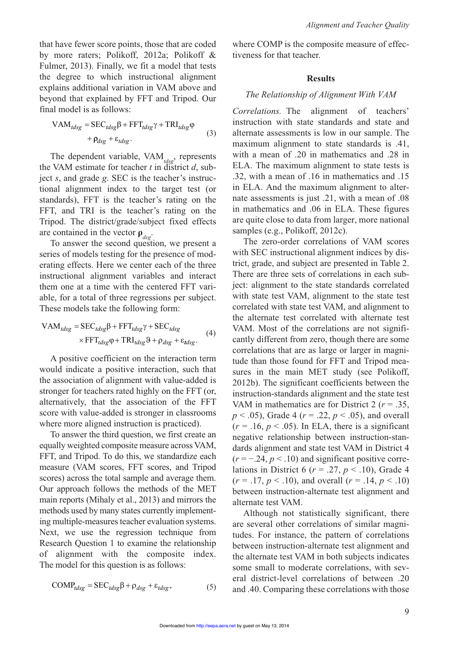that have fewer score points, those that are coded by more raters; Polikoff, 2012a; Polikoff & Fulmer, 2013). Finally, we fit a model that tests the degree to which instructional alignment explains additional variation in VAM above and beyond that explained by FFT and Tripod. Our final model is as follows:

$$
VAM_{tdsg} = \text{SEC}_{tdsg} \beta + \text{FFT}_{tdsg} \gamma + \text{TRI}_{tdsg} \varphi
$$
  
+ 
$$
\rho_{dsg} + \varepsilon_{tdsg}.
$$
 (3)

The dependent variable, VAM<sub>tdsg</sub>, represents the VAM estimate for teacher *t* in district *d*, subject *s*, and grade *g*. SEC is the teacher's instructional alignment index to the target test (or standards), FFT is the teacher's rating on the FFT, and TRI is the teacher's rating on the Tripod. The district/grade/subject fixed effects are contained in the vector  $\rho_{dsg}$ .

To answer the second question, we present a series of models testing for the presence of moderating effects. Here we center each of the three instructional alignment variables and interact them one at a time with the centered FFT variable, for a total of three regressions per subject. These models take the following form:

$$
VAM_{tdsg} = \text{SEC}_{tdsg} \beta + \text{FFT}_{tdsg} \gamma + \text{SEC}_{tdsg}
$$
  
 
$$
\times \text{FFT}_{tdsg} \varphi + \text{TRI}_{tdsg} \varphi + \rho_{dsg} + \varepsilon_{tdsg}.
$$
 (4)

A positive coefficient on the interaction term would indicate a positive interaction, such that the association of alignment with value-added is stronger for teachers rated highly on the FFT (or, alternatively, that the association of the FFT score with value-added is stronger in classrooms where more aligned instruction is practiced).

To answer the third question, we first create an equally weighted composite measure across VAM, FFT, and Tripod. To do this, we standardize each measure (VAM scores, FFT scores, and Tripod scores) across the total sample and average them. Our approach follows the methods of the MET main reports (Mihaly et al., 2013) and mirrors the methods used by many states currently implementing multiple-measures teacher evaluation systems. Next, we use the regression technique from Research Question 1 to examine the relationship of alignment with the composite index. The model for this question is as follows:

$$
COMP_{tdsg} = SEC_{tdsg}\beta + \rho_{dsg} + \varepsilon_{tdsg},\tag{5}
$$

where COMP is the composite measure of effectiveness for that teacher.

#### **Results**

#### *The Relationship of Alignment With VAM*

*Correlations.* The alignment of teachers' instruction with state standards and state and alternate assessments is low in our sample. The maximum alignment to state standards is .41, with a mean of .20 in mathematics and .28 in ELA. The maximum alignment to state tests is .32, with a mean of .16 in mathematics and .15 in ELA. And the maximum alignment to alternate assessments is just .21, with a mean of .08 in mathematics and .06 in ELA. These figures are quite close to data from larger, more national samples (e.g., Polikoff, 2012c).

The zero-order correlations of VAM scores with SEC instructional alignment indices by district, grade, and subject are presented in Table 2. There are three sets of correlations in each subject: alignment to the state standards correlated with state test VAM, alignment to the state test correlated with state test VAM, and alignment to the alternate test correlated with alternate test VAM. Most of the correlations are not significantly different from zero, though there are some correlations that are as large or larger in magnitude than those found for FFT and Tripod measures in the main MET study (see Polikoff, 2012b). The significant coefficients between the instruction-standards alignment and the state test VAM in mathematics are for District 2 ( $r = .35$ , *p* < .05), Grade 4 (*r* = .22, *p* < .05), and overall  $(r = .16, p < .05)$ . In ELA, there is a significant negative relationship between instruction-standards alignment and state test VAM in District 4  $(r = -0.24, p < 0.10)$  and significant positive correlations in District 6 ( $r = .27$ ,  $p < .10$ ), Grade 4  $(r = .17, p < .10)$ , and overall  $(r = .14, p < .10)$ between instruction-alternate test alignment and alternate test VAM.

Although not statistically significant, there are several other correlations of similar magnitudes. For instance, the pattern of correlations between instruction-alternate test alignment and the alternate test VAM in both subjects indicates some small to moderate correlations, with several district-level correlations of between .20 and .40. Comparing these correlations with those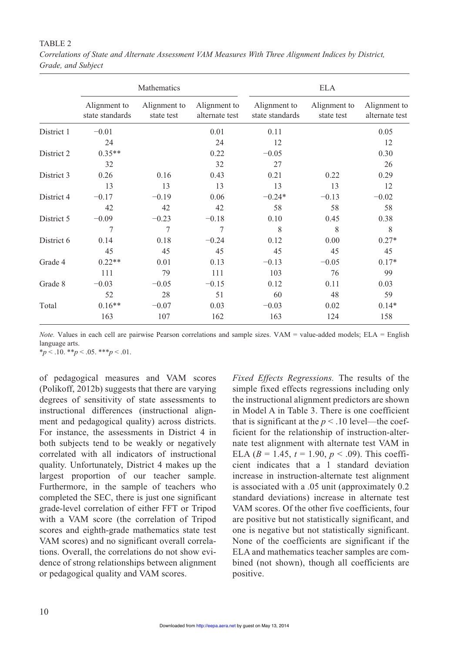| Mathematics                     |                            |                                | <b>ELA</b>                      |                            |                                |  |
|---------------------------------|----------------------------|--------------------------------|---------------------------------|----------------------------|--------------------------------|--|
| Alignment to<br>state standards | Alignment to<br>state test | Alignment to<br>alternate test | Alignment to<br>state standards | Alignment to<br>state test | Alignment to<br>alternate test |  |
| $-0.01$                         |                            | 0.01                           | 0.11                            |                            | 0.05                           |  |
| 24                              |                            | 24                             | 12                              |                            | 12                             |  |
| $0.35**$                        |                            | 0.22                           | $-0.05$                         |                            | 0.30                           |  |
| 32                              |                            | 32                             | 27                              |                            | 26                             |  |
| 0.26                            | 0.16                       | 0.43                           | 0.21                            | 0.22                       | 0.29                           |  |
| 13                              | 13                         | 13                             | 13                              | 13                         | 12                             |  |
| $-0.17$                         | $-0.19$                    | 0.06                           | $-0.24*$                        | $-0.13$                    | $-0.02$                        |  |
| 42                              | 42                         | 42                             | 58                              | 58                         | 58                             |  |
| $-0.09$                         | $-0.23$                    | $-0.18$                        | 0.10                            | 0.45                       | 0.38                           |  |
| 7                               | 7                          | 7                              | 8                               | 8                          | 8                              |  |
| 0.14                            | 0.18                       | $-0.24$                        | 0.12                            | 0.00                       | $0.27*$                        |  |
| 45                              | 45                         | 45                             | 45                              | 45                         | 45                             |  |
| $0.22**$                        | 0.01                       | 0.13                           | $-0.13$                         | $-0.05$                    | $0.17*$                        |  |
| 111                             | 79                         | 111                            | 103                             | 76                         | 99                             |  |
| $-0.03$                         | $-0.05$                    | $-0.15$                        | 0.12                            | 0.11                       | 0.03                           |  |
| 52                              | 28                         | 51                             | 60                              | 48                         | 59                             |  |
| $0.16**$                        | $-0.07$                    | 0.03                           | $-0.03$                         | 0.02                       | $0.14*$                        |  |
| 163                             | 107                        | 162                            | 163                             | 124                        | 158                            |  |
|                                 |                            |                                |                                 |                            |                                |  |

*Correlations of State and Alternate Assessment VAM Measures With Three Alignment Indices by District, Grade, and Subject*

*Note.* Values in each cell are pairwise Pearson correlations and sample sizes. VAM = value-added models; ELA = English language arts.

 $**p* < .10.$   $**p* < .05.$   $**p* < .01.$ 

of pedagogical measures and VAM scores (Polikoff, 2012b) suggests that there are varying degrees of sensitivity of state assessments to instructional differences (instructional alignment and pedagogical quality) across districts. For instance, the assessments in District 4 in both subjects tend to be weakly or negatively correlated with all indicators of instructional quality. Unfortunately, District 4 makes up the largest proportion of our teacher sample. Furthermore, in the sample of teachers who completed the SEC, there is just one significant grade-level correlation of either FFT or Tripod with a VAM score (the correlation of Tripod scores and eighth-grade mathematics state test VAM scores) and no significant overall correlations. Overall, the correlations do not show evidence of strong relationships between alignment or pedagogical quality and VAM scores.

*Fixed Effects Regressions.* The results of the simple fixed effects regressions including only the instructional alignment predictors are shown in Model A in Table 3. There is one coefficient that is significant at the  $p < 0.10$  level—the coefficient for the relationship of instruction-alternate test alignment with alternate test VAM in ELA ( $B = 1.45$ ,  $t = 1.90$ ,  $p < .09$ ). This coefficient indicates that a 1 standard deviation increase in instruction-alternate test alignment is associated with a .05 unit (approximately 0.2 standard deviations) increase in alternate test VAM scores. Of the other five coefficients, four are positive but not statistically significant, and one is negative but not statistically significant. None of the coefficients are significant if the ELA and mathematics teacher samples are combined (not shown), though all coefficients are positive.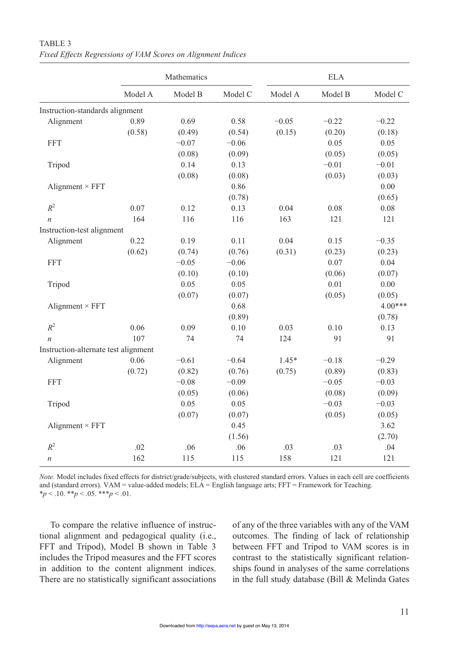|                                      |         | Mathematics |         | <b>ELA</b> |         |           |
|--------------------------------------|---------|-------------|---------|------------|---------|-----------|
|                                      | Model A | Model B     | Model C | Model A    | Model B | Model C   |
| Instruction-standards alignment      |         |             |         |            |         |           |
| Alignment                            | 0.89    | 0.69        | 0.58    | $-0.05$    | $-0.22$ | $-0.22$   |
|                                      | (0.58)  | (0.49)      | (0.54)  | (0.15)     | (0.20)  | (0.18)    |
| <b>FFT</b>                           |         | $-0.07$     | $-0.06$ |            | 0.05    | 0.05      |
|                                      |         | (0.08)      | (0.09)  |            | (0.05)  | (0.05)    |
| Tripod                               |         | 0.14        | 0.13    |            | $-0.01$ | $-0.01$   |
|                                      |         | (0.08)      | (0.08)  |            | (0.03)  | (0.03)    |
| Alignment $\times$ FFT               |         |             | 0.86    |            |         | 0.00      |
|                                      |         |             | (0.78)  |            |         | (0.65)    |
| $R^2$                                | 0.07    | 0.12        | 0.13    | 0.04       | 0.08    | 0.08      |
| $\boldsymbol{n}$                     | 164     | 116         | 116     | 163        | 121     | 121       |
| Instruction-test alignment           |         |             |         |            |         |           |
| Alignment                            | 0.22    | 0.19        | 0.11    | 0.04       | 0.15    | $-0.35$   |
|                                      | (0.62)  | (0.74)      | (0.76)  | (0.31)     | (0.23)  | (0.23)    |
| <b>FFT</b>                           |         | $-0.05$     | $-0.06$ |            | 0.07    | 0.04      |
|                                      |         | (0.10)      | (0.10)  |            | (0.06)  | (0.07)    |
| Tripod                               |         | 0.05        | 0.05    |            | 0.01    | 0.00      |
|                                      |         | (0.07)      | (0.07)  |            | (0.05)  | (0.05)    |
| Alignment $\times$ FFT               |         |             | 0.68    |            |         | $4.00***$ |
|                                      |         |             | (0.89)  |            |         | (0.78)    |
| $R^2$                                | 0.06    | 0.09        | 0.10    | 0.03       | 0.10    | 0.13      |
| $\boldsymbol{n}$                     | 107     | 74          | 74      | 124        | 91      | 91        |
| Instruction-alternate test alignment |         |             |         |            |         |           |
| Alignment                            | 0.06    | $-0.61$     | $-0.64$ | $1.45*$    | $-0.18$ | $-0.29$   |
|                                      | (0.72)  | (0.82)      | (0.76)  | (0.75)     | (0.89)  | (0.83)    |
| <b>FFT</b>                           |         | $-0.08$     | $-0.09$ |            | $-0.05$ | $-0.03$   |
|                                      |         | (0.05)      | (0.06)  |            | (0.08)  | (0.09)    |
| Tripod                               |         | 0.05        | 0.05    |            | $-0.03$ | $-0.03$   |
|                                      |         | (0.07)      | (0.07)  |            | (0.05)  | (0.05)    |
| Alignment $\times$ FFT               |         |             | 0.45    |            |         | 3.62      |
|                                      |         |             | (1.56)  |            |         | (2.70)    |
| $R^2$                                | .02     | .06         | .06     | .03        | .03     | .04       |
| $\boldsymbol{n}$                     | 162     | 115         | 115     | 158        | 121     | 121       |

TABLE 3 *Fixed Effects Regressions of VAM Scores on Alignment Indices*

*Note.* Model includes fixed effects for district/grade/subjects, with clustered standard errors. Values in each cell are coefficients and (standard errors). VAM = value-added models; ELA = English language arts; FFT = Framework for Teaching. \**p* < .10. \*\**p* < .05. \*\*\**p* < .01.

To compare the relative influence of instructional alignment and pedagogical quality (i.e., FFT and Tripod), Model B shown in Table 3 includes the Tripod measures and the FFT scores in addition to the content alignment indices. There are no statistically significant associations of any of the three variables with any of the VAM outcomes. The finding of lack of relationship between FFT and Tripod to VAM scores is in contrast to the statistically significant relationships found in analyses of the same correlations in the full study database (Bill & Melinda Gates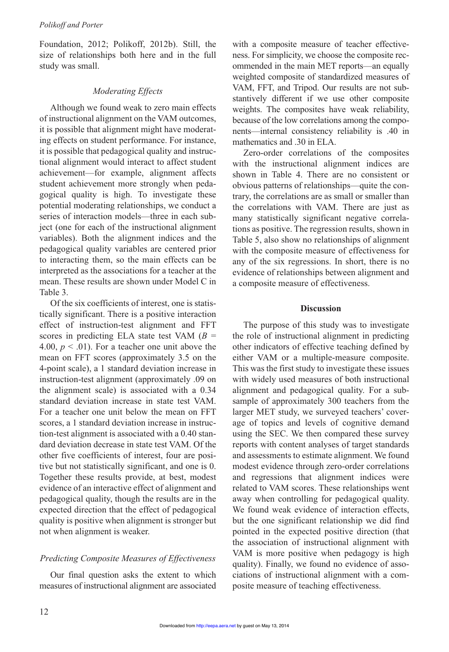Foundation, 2012; Polikoff, 2012b). Still, the size of relationships both here and in the full study was small.

## *Moderating Effects*

Although we found weak to zero main effects of instructional alignment on the VAM outcomes, it is possible that alignment might have moderating effects on student performance. For instance, it is possible that pedagogical quality and instructional alignment would interact to affect student achievement—for example, alignment affects student achievement more strongly when pedagogical quality is high. To investigate these potential moderating relationships, we conduct a series of interaction models—three in each subject (one for each of the instructional alignment variables). Both the alignment indices and the pedagogical quality variables are centered prior to interacting them, so the main effects can be interpreted as the associations for a teacher at the mean. These results are shown under Model C in Table 3.

Of the six coefficients of interest, one is statistically significant. There is a positive interaction effect of instruction-test alignment and FFT scores in predicting ELA state test VAM  $(B =$ 4.00,  $p < .01$ ). For a teacher one unit above the mean on FFT scores (approximately 3.5 on the 4-point scale), a 1 standard deviation increase in instruction-test alignment (approximately .09 on the alignment scale) is associated with a 0.34 standard deviation increase in state test VAM. For a teacher one unit below the mean on FFT scores, a 1 standard deviation increase in instruction-test alignment is associated with a 0.40 standard deviation decrease in state test VAM. Of the other five coefficients of interest, four are positive but not statistically significant, and one is 0. Together these results provide, at best, modest evidence of an interactive effect of alignment and pedagogical quality, though the results are in the expected direction that the effect of pedagogical quality is positive when alignment is stronger but not when alignment is weaker.

## *Predicting Composite Measures of Effectiveness*

Our final question asks the extent to which measures of instructional alignment are associated with a composite measure of teacher effectiveness. For simplicity, we choose the composite recommended in the main MET reports—an equally weighted composite of standardized measures of VAM, FFT, and Tripod. Our results are not substantively different if we use other composite weights. The composites have weak reliability, because of the low correlations among the components—internal consistency reliability is .40 in mathematics and .30 in ELA.

Zero-order correlations of the composites with the instructional alignment indices are shown in Table 4. There are no consistent or obvious patterns of relationships—quite the contrary, the correlations are as small or smaller than the correlations with VAM. There are just as many statistically significant negative correlations as positive. The regression results, shown in Table 5, also show no relationships of alignment with the composite measure of effectiveness for any of the six regressions. In short, there is no evidence of relationships between alignment and a composite measure of effectiveness.

## **Discussion**

The purpose of this study was to investigate the role of instructional alignment in predicting other indicators of effective teaching defined by either VAM or a multiple-measure composite. This was the first study to investigate these issues with widely used measures of both instructional alignment and pedagogical quality. For a subsample of approximately 300 teachers from the larger MET study, we surveyed teachers' coverage of topics and levels of cognitive demand using the SEC. We then compared these survey reports with content analyses of target standards and assessments to estimate alignment. We found modest evidence through zero-order correlations and regressions that alignment indices were related to VAM scores. These relationships went away when controlling for pedagogical quality. We found weak evidence of interaction effects, but the one significant relationship we did find pointed in the expected positive direction (that the association of instructional alignment with VAM is more positive when pedagogy is high quality). Finally, we found no evidence of associations of instructional alignment with a composite measure of teaching effectiveness.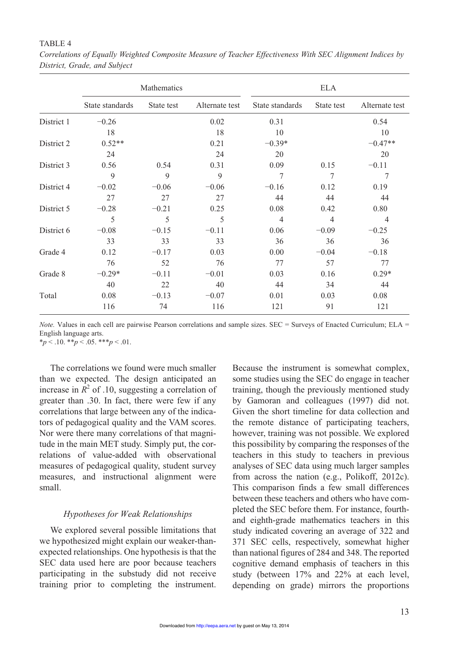|            |                 | Mathematics |                | ELA             |                |                |
|------------|-----------------|-------------|----------------|-----------------|----------------|----------------|
|            | State standards | State test  | Alternate test | State standards | State test     | Alternate test |
| District 1 | $-0.26$         |             | 0.02           | 0.31            |                | 0.54           |
|            | 18              |             | 18             | 10              |                | 10             |
| District 2 | $0.52**$        |             | 0.21           | $-0.39*$        |                | $-0.47**$      |
|            | 24              |             | 24             | 20              |                | 20             |
| District 3 | 0.56            | 0.54        | 0.31           | 0.09            | 0.15           | $-0.11$        |
|            | 9               | 9           | 9              | 7               | 7              | 7              |
| District 4 | $-0.02$         | $-0.06$     | $-0.06$        | $-0.16$         | 0.12           | 0.19           |
|            | 27              | 27          | 27             | 44              | 44             | 44             |
| District 5 | $-0.28$         | $-0.21$     | 0.25           | 0.08            | 0.42           | 0.80           |
|            | 5               | 5           | 5              | $\overline{4}$  | $\overline{4}$ | $\overline{4}$ |
| District 6 | $-0.08$         | $-0.15$     | $-0.11$        | 0.06            | $-0.09$        | $-0.25$        |
|            | 33              | 33          | 33             | 36              | 36             | 36             |
| Grade 4    | 0.12            | $-0.17$     | 0.03           | 0.00            | $-0.04$        | $-0.18$        |

*Correlations of Equally Weighted Composite Measure of Teacher Effectiveness With SEC Alignment Indices by District, Grade, and Subject*

*Note.* Values in each cell are pairwise Pearson correlations and sample sizes. SEC = Surveys of Enacted Curriculum; ELA = English language arts.  $*_p$  < .10.  $*_p$  < .05.  $**_p$  < .01.

Grade 8  $-0.29^*$   $-0.11$   $-0.01$   $0.03$   $0.16$   $0.29^*$ 

Total 0.08  $-0.13$   $-0.07$  0.01 0.03 0.08

76 52 76 77 57 77

40 22 40 44 34 44

116 74 116 121 91 121

The correlations we found were much smaller than we expected. The design anticipated an increase in  $\overline{R}^2$  of .10, suggesting a correlation of greater than .30. In fact, there were few if any correlations that large between any of the indicators of pedagogical quality and the VAM scores. Nor were there many correlations of that magnitude in the main MET study. Simply put, the correlations of value-added with observational measures of pedagogical quality, student survey measures, and instructional alignment were small.

### *Hypotheses for Weak Relationships*

We explored several possible limitations that we hypothesized might explain our weaker-thanexpected relationships. One hypothesis is that the SEC data used here are poor because teachers participating in the substudy did not receive training prior to completing the instrument.

Because the instrument is somewhat complex, some studies using the SEC do engage in teacher training, though the previously mentioned study by Gamoran and colleagues (1997) did not. Given the short timeline for data collection and the remote distance of participating teachers, however, training was not possible. We explored this possibility by comparing the responses of the teachers in this study to teachers in previous analyses of SEC data using much larger samples from across the nation (e.g., Polikoff, 2012c). This comparison finds a few small differences between these teachers and others who have completed the SEC before them. For instance, fourthand eighth-grade mathematics teachers in this study indicated covering an average of 322 and 371 SEC cells, respectively, somewhat higher than national figures of 284 and 348. The reported cognitive demand emphasis of teachers in this study (between 17% and 22% at each level, depending on grade) mirrors the proportions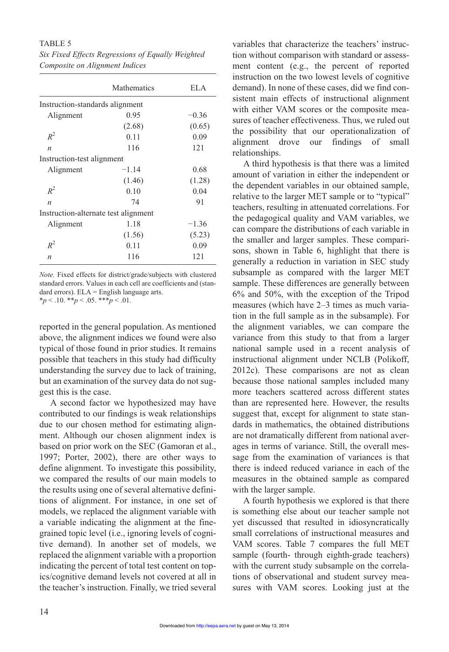| Six Fixed Effects Regressions of Equally Weighted |  |
|---------------------------------------------------|--|
| Composite on Alignment Indices                    |  |

|                                      | Mathematics | ELA     |
|--------------------------------------|-------------|---------|
| Instruction-standards alignment      |             |         |
| Alignment                            | 0.95        | $-0.36$ |
|                                      | (2.68)      | (0.65)  |
| $R^2$                                | 0.11        | 0.09    |
| $\boldsymbol{n}$                     | 116         | 121     |
| Instruction-test alignment           |             |         |
| Alignment                            | $-1.14$     | 0.68    |
|                                      | (1.46)      | (1.28)  |
| $R^2$                                | 0.10        | 0.04    |
| $\boldsymbol{n}$                     | 74          | 91      |
| Instruction-alternate test alignment |             |         |
| Alignment                            | 1.18        | $-1.36$ |
|                                      | (1.56)      | (5.23)  |
| $R^2$                                | 0.11        | 0.09    |
| $\boldsymbol{n}$                     | 116         | 121     |

*Note.* Fixed effects for district/grade/subjects with clustered standard errors. Values in each cell are coefficients and (standard errors). ELA = English language arts.  $*_{p}$  < .10.  $*_{p}$  < .05.  $*_{p}$  < .01.

reported in the general population. As mentioned above, the alignment indices we found were also typical of those found in prior studies. It remains possible that teachers in this study had difficulty understanding the survey due to lack of training, but an examination of the survey data do not suggest this is the case.

A second factor we hypothesized may have contributed to our findings is weak relationships due to our chosen method for estimating alignment. Although our chosen alignment index is based on prior work on the SEC (Gamoran et al., 1997; Porter, 2002), there are other ways to define alignment. To investigate this possibility, we compared the results of our main models to the results using one of several alternative definitions of alignment. For instance, in one set of models, we replaced the alignment variable with a variable indicating the alignment at the finegrained topic level (i.e., ignoring levels of cognitive demand). In another set of models, we replaced the alignment variable with a proportion indicating the percent of total test content on topics/cognitive demand levels not covered at all in the teacher's instruction. Finally, we tried several

variables that characterize the teachers' instruction without comparison with standard or assessment content (e.g., the percent of reported instruction on the two lowest levels of cognitive demand). In none of these cases, did we find consistent main effects of instructional alignment with either VAM scores or the composite measures of teacher effectiveness. Thus, we ruled out the possibility that our operationalization of alignment drove our findings of small relationships.

A third hypothesis is that there was a limited amount of variation in either the independent or the dependent variables in our obtained sample, relative to the larger MET sample or to "typical" teachers, resulting in attenuated correlations. For the pedagogical quality and VAM variables, we can compare the distributions of each variable in the smaller and larger samples. These comparisons, shown in Table 6, highlight that there is generally a reduction in variation in SEC study subsample as compared with the larger MET sample. These differences are generally between 6% and 50%, with the exception of the Tripod measures (which have 2–3 times as much variation in the full sample as in the subsample). For the alignment variables, we can compare the variance from this study to that from a larger national sample used in a recent analysis of instructional alignment under NCLB (Polikoff, 2012c). These comparisons are not as clean because those national samples included many more teachers scattered across different states than are represented here. However, the results suggest that, except for alignment to state standards in mathematics, the obtained distributions are not dramatically different from national averages in terms of variance. Still, the overall message from the examination of variances is that there is indeed reduced variance in each of the measures in the obtained sample as compared with the larger sample.

A fourth hypothesis we explored is that there is something else about our teacher sample not yet discussed that resulted in idiosyncratically small correlations of instructional measures and VAM scores. Table 7 compares the full MET sample (fourth- through eighth-grade teachers) with the current study subsample on the correlations of observational and student survey measures with VAM scores. Looking just at the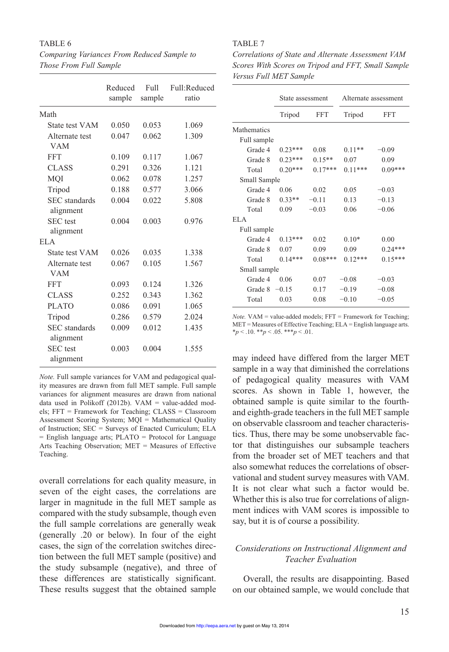| Comparing Variances From Reduced Sample to |  |
|--------------------------------------------|--|
| <i>Those From Full Sample</i>              |  |

|                                   | Reduced<br>sample | Full<br>sample | Full:Reduced<br>ratio |
|-----------------------------------|-------------------|----------------|-----------------------|
| Math                              |                   |                |                       |
| State test VAM                    | 0.050             | 0.053          | 1.069                 |
| Alternate test<br><b>VAM</b>      | 0.047             | 0.062          | 1.309                 |
| <b>FFT</b>                        | 0.109             | 0.117          | 1.067                 |
| <b>CLASS</b>                      | 0.291             | 0.326          | 1.121                 |
| MQI                               | 0.062             | 0.078          | 1.257                 |
| Tripod                            | 0.188             | 0.577          | 3.066                 |
| <b>SEC</b> standards<br>alignment | 0.004             | 0.022          | 5.808                 |
| <b>SEC</b> test<br>alignment      | 0.004             | 0.003          | 0.976                 |
| ELA                               |                   |                |                       |
| <b>State test VAM</b>             | 0.026             | 0.035          | 1.338                 |
| Alternate test<br><b>VAM</b>      | 0.067             | 0.105          | 1.567                 |
| <b>FFT</b>                        | 0.093             | 0.124          | 1.326                 |
| <b>CLASS</b>                      | 0.252             | 0.343          | 1.362                 |
| <b>PLATO</b>                      | 0.086             | 0.091          | 1.065                 |
| Tripod                            | 0.286             | 0.579          | 2.024                 |
| <b>SEC</b> standards<br>alignment | 0.009             | 0.012          | 1.435                 |
| <b>SEC</b> test<br>alignment      | 0.003             | 0.004          | 1.555                 |

*Note.* Full sample variances for VAM and pedagogical quality measures are drawn from full MET sample. Full sample variances for alignment measures are drawn from national data used in Polikoff (2012b). VAM = value-added models; FFT = Framework for Teaching; CLASS = Classroom Assessment Scoring System; MQI = Mathematical Quality of Instruction; SEC = Surveys of Enacted Curriculum; ELA = English language arts; PLATO = Protocol for Language Arts Teaching Observation; MET = Measures of Effective Teaching.

overall correlations for each quality measure, in seven of the eight cases, the correlations are larger in magnitude in the full MET sample as compared with the study subsample, though even the full sample correlations are generally weak (generally .20 or below). In four of the eight cases, the sign of the correlation switches direction between the full MET sample (positive) and the study subsample (negative), and three of these differences are statistically significant. These results suggest that the obtained sample

## TABLE 7

*Correlations of State and Alternate Assessment VAM Scores With Scores on Tripod and FFT, Small Sample Versus Full MET Sample*

|              | State assessment |           | Alternate assessment |           |  |
|--------------|------------------|-----------|----------------------|-----------|--|
|              | Tripod           | FFT       | Tripod               | FFT       |  |
| Mathematics  |                  |           |                      |           |  |
| Full sample  |                  |           |                      |           |  |
| Grade 4      | $0.23***$        | 0.08      | $0.11**$             | $-0.09$   |  |
| Grade 8      | $0.23***$        | $0.15**$  | 0.07                 | 0.09      |  |
| Total        | $0.20***$        | $0.17***$ | $0.11***$            | $0.09***$ |  |
| Small Sample |                  |           |                      |           |  |
| Grade 4      | 0.06             | 0.02      | 0.05                 | $-0.03$   |  |
| Grade 8      | $0.33**$         | $-0.11$   | 0.13                 | $-0.13$   |  |
| Total        | 0.09             | $-0.03$   | 0.06                 | $-0.06$   |  |
| EL A         |                  |           |                      |           |  |
| Full sample  |                  |           |                      |           |  |
| Grade 4      | $0.13***$        | 0.02      | $0.10*$              | 0.00      |  |
| Grade 8      | 0.07             | 0.09      | 0.09                 | $0.24***$ |  |
| Total        | $0.14***$        | $0.08***$ | $0.12***$            | $0.15***$ |  |
| Small sample |                  |           |                      |           |  |
| Grade 4      | 0.06             | 0.07      | $-0.08$              | $-0.03$   |  |
| Grade 8      | $-0.15$          | 0.17      | $-0.19$              | $-0.08$   |  |
| Total        | 0.03             | 0.08      | $-0.10$              | $-0.05$   |  |
|              |                  |           |                      |           |  |

*Note.* VAM = value-added models; FFT = Framework for Teaching; MET = Measures of Effective Teaching; ELA = English language arts. \**p* < .10. \*\**p* < .05. \*\*\**p* < .01.

may indeed have differed from the larger MET sample in a way that diminished the correlations of pedagogical quality measures with VAM scores. As shown in Table 1, however, the obtained sample is quite similar to the fourthand eighth-grade teachers in the full MET sample on observable classroom and teacher characteristics. Thus, there may be some unobservable factor that distinguishes our subsample teachers from the broader set of MET teachers and that also somewhat reduces the correlations of observational and student survey measures with VAM. It is not clear what such a factor would be. Whether this is also true for correlations of alignment indices with VAM scores is impossible to say, but it is of course a possibility.

## *Considerations on Instructional Alignment and Teacher Evaluation*

Overall, the results are disappointing. Based on our obtained sample, we would conclude that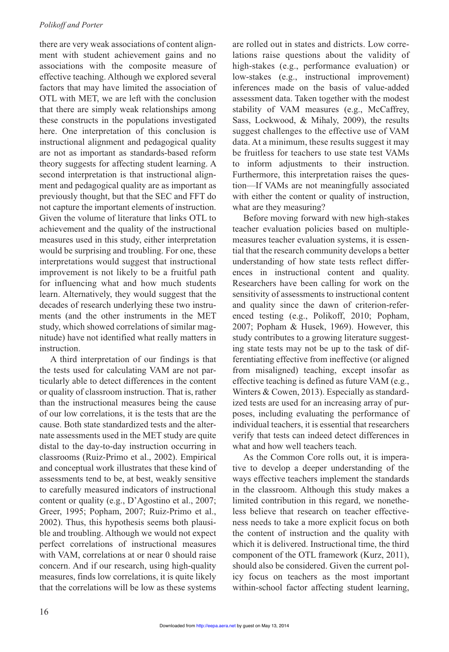there are very weak associations of content alignment with student achievement gains and no associations with the composite measure of effective teaching. Although we explored several factors that may have limited the association of OTL with MET, we are left with the conclusion that there are simply weak relationships among these constructs in the populations investigated here. One interpretation of this conclusion is instructional alignment and pedagogical quality are not as important as standards-based reform theory suggests for affecting student learning. A second interpretation is that instructional alignment and pedagogical quality are as important as previously thought, but that the SEC and FFT do not capture the important elements of instruction. Given the volume of literature that links OTL to achievement and the quality of the instructional measures used in this study, either interpretation would be surprising and troubling. For one, these interpretations would suggest that instructional improvement is not likely to be a fruitful path for influencing what and how much students learn. Alternatively, they would suggest that the decades of research underlying these two instruments (and the other instruments in the MET study, which showed correlations of similar magnitude) have not identified what really matters in instruction.

A third interpretation of our findings is that the tests used for calculating VAM are not particularly able to detect differences in the content or quality of classroom instruction. That is, rather than the instructional measures being the cause of our low correlations, it is the tests that are the cause. Both state standardized tests and the alternate assessments used in the MET study are quite distal to the day-to-day instruction occurring in classrooms (Ruiz-Primo et al., 2002). Empirical and conceptual work illustrates that these kind of assessments tend to be, at best, weakly sensitive to carefully measured indicators of instructional content or quality (e.g., D'Agostino et al., 2007; Greer, 1995; Popham, 2007; Ruiz-Primo et al., 2002). Thus, this hypothesis seems both plausible and troubling. Although we would not expect perfect correlations of instructional measures with VAM, correlations at or near 0 should raise concern. And if our research, using high-quality measures, finds low correlations, it is quite likely that the correlations will be low as these systems

are rolled out in states and districts. Low correlations raise questions about the validity of high-stakes (e.g., performance evaluation) or low-stakes (e.g., instructional improvement) inferences made on the basis of value-added assessment data. Taken together with the modest stability of VAM measures (e.g., McCaffrey, Sass, Lockwood, & Mihaly, 2009), the results suggest challenges to the effective use of VAM data. At a minimum, these results suggest it may be fruitless for teachers to use state test VAMs to inform adjustments to their instruction. Furthermore, this interpretation raises the question—If VAMs are not meaningfully associated with either the content or quality of instruction, what are they measuring?

Before moving forward with new high-stakes teacher evaluation policies based on multiplemeasures teacher evaluation systems, it is essential that the research community develops a better understanding of how state tests reflect differences in instructional content and quality. Researchers have been calling for work on the sensitivity of assessments to instructional content and quality since the dawn of criterion-referenced testing (e.g., Polikoff, 2010; Popham, 2007; Popham & Husek, 1969). However, this study contributes to a growing literature suggesting state tests may not be up to the task of differentiating effective from ineffective (or aligned from misaligned) teaching, except insofar as effective teaching is defined as future VAM (e.g., Winters & Cowen, 2013). Especially as standardized tests are used for an increasing array of purposes, including evaluating the performance of individual teachers, it is essential that researchers verify that tests can indeed detect differences in what and how well teachers teach.

As the Common Core rolls out, it is imperative to develop a deeper understanding of the ways effective teachers implement the standards in the classroom. Although this study makes a limited contribution in this regard, we nonetheless believe that research on teacher effectiveness needs to take a more explicit focus on both the content of instruction and the quality with which it is delivered. Instructional time, the third component of the OTL framework (Kurz, 2011), should also be considered. Given the current policy focus on teachers as the most important within-school factor affecting student learning,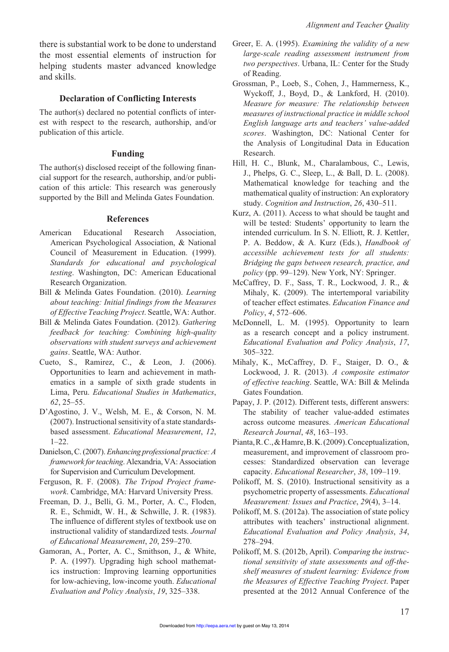there is substantial work to be done to understand the most essential elements of instruction for helping students master advanced knowledge and skills.

## **Declaration of Conflicting Interests**

The author(s) declared no potential conflicts of interest with respect to the research, authorship, and/or publication of this article.

## **Funding**

The author(s) disclosed receipt of the following financial support for the research, authorship, and/or publication of this article: This research was generously supported by the Bill and Melinda Gates Foundation.

## **References**

- American Educational Research Association, American Psychological Association, & National Council of Measurement in Education. (1999). *Standards for educational and psychological testing*. Washington, DC: American Educational Research Organization.
- Bill & Melinda Gates Foundation. (2010). *Learning about teaching: Initial findings from the Measures of Effective Teaching Project*. Seattle, WA: Author.
- Bill & Melinda Gates Foundation. (2012). *Gathering feedback for teaching: Combining high-quality observations with student surveys and achievement gains*. Seattle, WA: Author.
- Cueto, S., Ramirez, C., & Leon, J. (2006). Opportunities to learn and achievement in mathematics in a sample of sixth grade students in Lima, Peru. *Educational Studies in Mathematics*, *62*, 25–55.
- D'Agostino, J. V., Welsh, M. E., & Corson, N. M. (2007). Instructional sensitivity of a state standardsbased assessment. *Educational Measurement*, *12*, 1–22.
- Danielson, C. (2007). *Enhancing professional practice: A framework for teaching*. Alexandria, VA: Association for Supervision and Curriculum Development.
- Ferguson, R. F. (2008). *The Tripod Project framework*. Cambridge, MA: Harvard University Press.
- Freeman, D. J., Belli, G. M., Porter, A. C., Floden, R. E., Schmidt, W. H., & Schwille, J. R. (1983). The influence of different styles of textbook use on instructional validity of standardized tests. *Journal of Educational Measurement*, *20*, 259–270.
- Gamoran, A., Porter, A. C., Smithson, J., & White, P. A. (1997). Upgrading high school mathematics instruction: Improving learning opportunities for low-achieving, low-income youth. *Educational Evaluation and Policy Analysis*, *19*, 325–338.
- Greer, E. A. (1995). *Examining the validity of a new large-scale reading assessment instrument from two perspectives*. Urbana, IL: Center for the Study of Reading.
- Grossman, P., Loeb, S., Cohen, J., Hammerness, K., Wyckoff, J., Boyd, D., & Lankford, H. (2010). *Measure for measure: The relationship between measures of instructional practice in middle school English language arts and teachers' value-added scores*. Washington, DC: National Center for the Analysis of Longitudinal Data in Education Research.
- Hill, H. C., Blunk, M., Charalambous, C., Lewis, J., Phelps, G. C., Sleep, L., & Ball, D. L. (2008). Mathematical knowledge for teaching and the mathematical quality of instruction: An exploratory study. *Cognition and Instruction*, *26*, 430–511.
- Kurz, A. (2011). Access to what should be taught and will be tested: Students' opportunity to learn the intended curriculum. In S. N. Elliott, R. J. Kettler, P. A. Beddow, & A. Kurz (Eds.), *Handbook of accessible achievement tests for all students: Bridging the gaps between research, practice, and policy* (pp. 99–129). New York, NY: Springer.
- McCaffrey, D. F., Sass, T. R., Lockwood, J. R., & Mihaly, K. (2009). The intertemporal variability of teacher effect estimates. *Education Finance and Policy*, *4*, 572–606.
- McDonnell, L. M. (1995). Opportunity to learn as a research concept and a policy instrument. *Educational Evaluation and Policy Analysis*, *17*, 305–322.
- Mihaly, K., McCaffrey, D. F., Staiger, D. O., & Lockwood, J. R. (2013). *A composite estimator of effective teaching*. Seattle, WA: Bill & Melinda Gates Foundation.
- Papay, J. P. (2012). Different tests, different answers: The stability of teacher value-added estimates across outcome measures. *American Educational Research Journal*, *48*, 163–193.
- Pianta, R. C., & Hamre, B. K. (2009). Conceptualization, measurement, and improvement of classroom processes: Standardized observation can leverage capacity. *Educational Researcher*, *38*, 109–119.
- Polikoff, M. S. (2010). Instructional sensitivity as a psychometric property of assessments. *Educational Measurement: Issues and Practice*, *29*(4), 3–14.
- Polikoff, M. S. (2012a). The association of state policy attributes with teachers' instructional alignment. *Educational Evaluation and Policy Analysis*, *34*, 278–294.
- Polikoff, M. S. (2012b, April). *Comparing the instructional sensitivity of state assessments and off-theshelf measures of student learning: Evidence from the Measures of Effective Teaching Project*. Paper presented at the 2012 Annual Conference of the